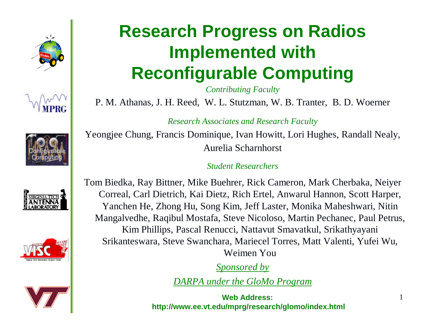











## **Research Progress on Radios Implemented with Reconfigurable Computing**

*Contributing Faculty*

P. M. Athanas, J. H. Reed, W. L. Stutzman, W. B. Tranter, B. D. Woerner

*Research Associates and Research Faculty*

Yeongjee Chung, Francis Dominique, Ivan Howitt, Lori Hughes, Randall Nealy, Aurelia Scharnhorst

*Student Researchers*

Tom Biedka, Ray Bittner, Mike Buehrer, Rick Cameron, Mark Cherbaka, Neiyer Correal, Carl Dietrich, Kai Dietz, Rich Ertel, Anwarul Hannon, Scott Harper, Yanchen He, Zhong Hu, Song Kim, Jeff Laster, Monika Maheshwari, Nitin Mangalvedhe, Raqibul Mostafa, Steve Nicoloso, Martin Pechanec*,* Paul Petrus, Kim Phillips, Pascal Renucci, Nattavut Smavatkul, Srikathyayani Srikanteswara, Steve Swanchara, Mariecel Torres, Matt Valenti, Yufei Wu, Weimen You

*Sponsored by*

*DARPA under the GloMo Program*

**Web Address: http://www.ee.vt.edu/mprg/research/glomo/index.html** 1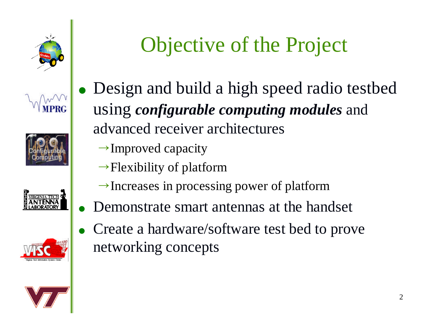











## Objective of the Project

- Design and build a high speed radio testbed using *configurable computing modules* and advanced receiver architectures
	- $\rightarrow$  Improved capacity
	- $\rightarrow$  Flexibility of platform
	- $\rightarrow$  Increases in processing power of platform
- Demonstrate smart antennas at the handset
- Create a hardware/software test bed to prove networking concepts